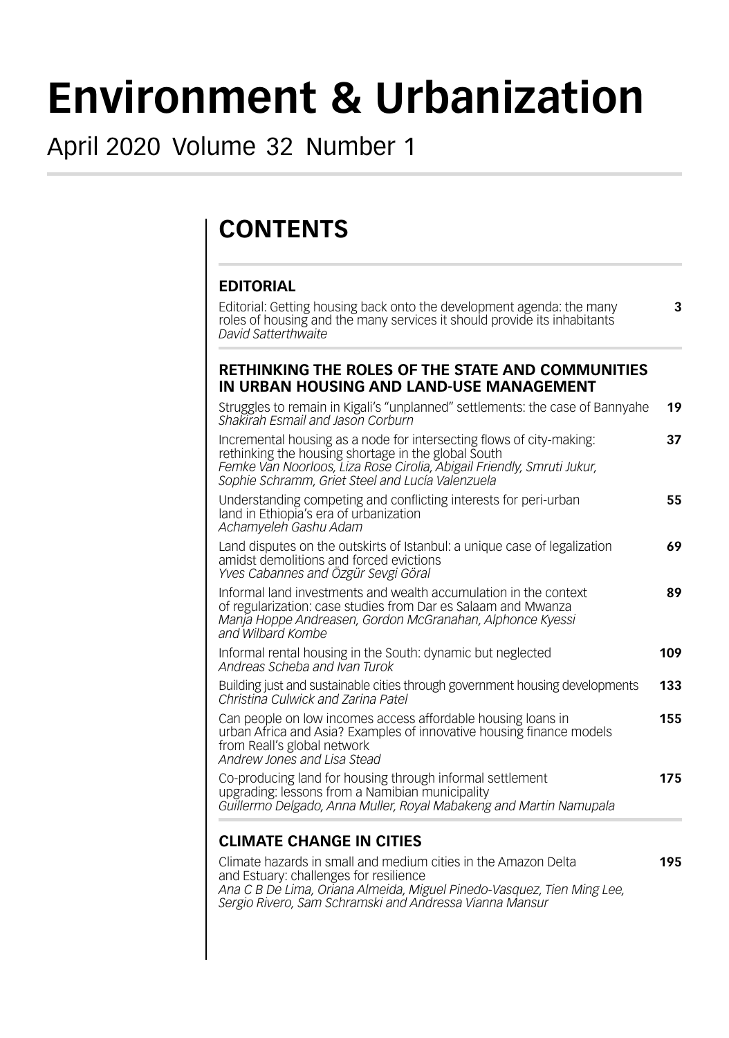# **Environment & Urbanization**

## April 2020 Volume 32 Number 1

# **CONTENTS**

#### **EDITORIAL**

Editorial: Getting housing back onto the development agenda: the many **3** roles of housing and the many services it should provide its inhabitants *David Satterthwaite*

#### **RETHINKING THE ROLES OF THE STATE AND COMMUNITIES IN URBAN HOUSING AND LAND-USE MANAGEMENT**

| Struggles to remain in Kigali's "unplanned" settlements: the case of Bannyahe<br>Shakirah Esmail and Jason Corburn                                                                                                                                        | 19  |
|-----------------------------------------------------------------------------------------------------------------------------------------------------------------------------------------------------------------------------------------------------------|-----|
| Incremental housing as a node for intersecting flows of city-making:<br>rethinking the housing shortage in the global South<br>Femke Van Noorloos, Liza Rose Cirolia, Abigail Friendly, Smruti Jukur,<br>Sophie Schramm, Griet Steel and Lucía Valenzuela | 37  |
| Understanding competing and conflicting interests for peri-urban<br>land in Ethiopia's era of urbanization<br>Achamyeleh Gashu Adam                                                                                                                       | 55  |
| Land disputes on the outskirts of Istanbul: a unique case of legalization<br>amidst demolitions and forced evictions<br>Yves Cabannes and Özgür Sevgi Göral                                                                                               | 69  |
| Informal land investments and wealth accumulation in the context<br>of regularization: case studies from Dar es Salaam and Mwanza<br>Manja Hoppe Andreasen, Gordon McGranahan, Alphonce Kyessi<br>and Wilbard Kombe                                       | 89  |
| Informal rental housing in the South: dynamic but neglected<br>Andreas Scheba and Ivan Turok                                                                                                                                                              | 109 |
| Building just and sustainable cities through government housing developments<br>Christina Culwick and Zarina Patel                                                                                                                                        | 133 |
| Can people on low incomes access affordable housing loans in<br>urban Africa and Asia? Examples of innovative housing finance models<br>from Reall's global network<br>Andrew Jones and Lisa Stead                                                        | 155 |
| Co-producing land for housing through informal settlement<br>upgrading: lessons from a Namibian municipality<br>Guillermo Delgado, Anna Muller, Royal Mabakeng and Martin Namupala                                                                        | 175 |
| <b>CLIMATE CHANGE IN CITIES</b><br>Olimpia hazarda in amall and madium aitias in the Amezon Delto                                                                                                                                                         | 40F |

### Climate hazards in small and medium cities in the Amazon Delta **195**

and Estuary: challenges for resilience *Ana C B De Lima, Oriana Almeida, Miguel Pinedo-Vasquez, Tien Ming Lee, Sergio Rivero, Sam Schramski and Andressa Vianna Mansur*